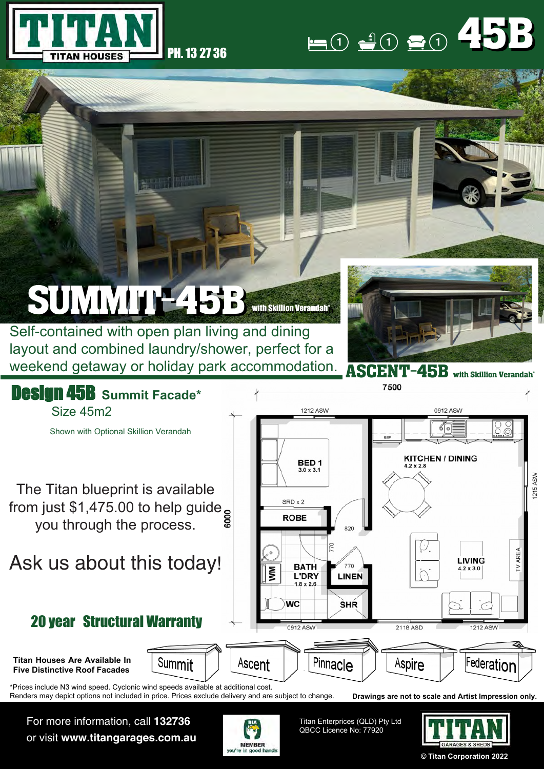



## SUMMIT-45B with Skillion Verandah\*

Self-contained with open plan living and dining layout and combined laundry/shower, perfect for a weekend getaway or holiday park accommodation.





For more information, call **132736** or visit **www.titangarages.com.au**



Titan Enterprices (QLD) Pty Ltd QBCC Licence No: 77920



**© Titan Corporation 2022**